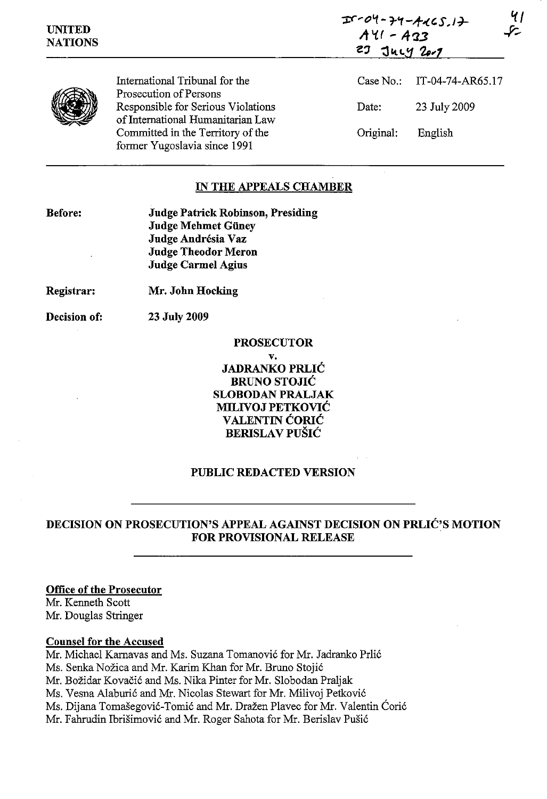| <b>UNITED</b><br><b>NATIONS</b> |                                                                         | $I - 04 - 74 - 4465.17$<br>يركمه<br>$A41 - A33$<br>$23 \text{ Juy } 201$ |                            |
|---------------------------------|-------------------------------------------------------------------------|--------------------------------------------------------------------------|----------------------------|
|                                 | International Tribunal for the<br>Prosecution of Persons                |                                                                          | Case No.: IT-04-74-AR65.17 |
|                                 | Responsible for Serious Violations<br>of International Humanitarian Law | Date:                                                                    | 23 July 2009               |
|                                 | Committed in the Territory of the<br>former Yugoslavia since 1991       | Original:                                                                | English                    |

## **IN THE APPEALS CHAMBER**

**Before:** 

**Judge Patrick Robinson, Presiding Judge Mehmet Giiney Judge Andresia** Vaz **Judge Theodor Meron Judge Carmel Agius** 

**Mr. John Hocking** 

**Registrar:** 

**Decision of: 23** July 2009

# **PROSECUTOR v.**

**JADRANKO PRLIC BRUNO STOJIC SLOBODAN PRALJAK MILIVOJ PETKOVIC VALENTIN CORIC BERISLAV PUŠIĆ** 

## **PUBLIC REDACTED VERSION**

# **DECISION ON PROSECUTION'S APPEAL AGAINST DECISION ON PRLIC'S MOTION FOR PROVISIONAL RELEASE**

### **Office of the Prosecutor**

Mr. Kenneth Scott Mr. Douglas Stringer

### **Counsel for the Accused**

Mr. Michael Kamavas and Ms. Suzana Tomanovic for Mr. Jadranko Prlic Ms. Senka Nozica and Mr. Karim Khan for Mr. Bruno Stojic Mr. Božidar Kovačić and Ms. Nika Pinter for Mr. Slobodan Praljak Ms. Vesna Alaburic and Mr. Nicolas Stewart for Mr. Milivoj Petkovic Ms. Dijana Tomašegović-Tomić and Mr. Dražen Plavec for Mr. Valentin Ćorić Mr. Fahrudin Ibrisimovic and Mr. Roger Sahota for Mr. Berislav Pusic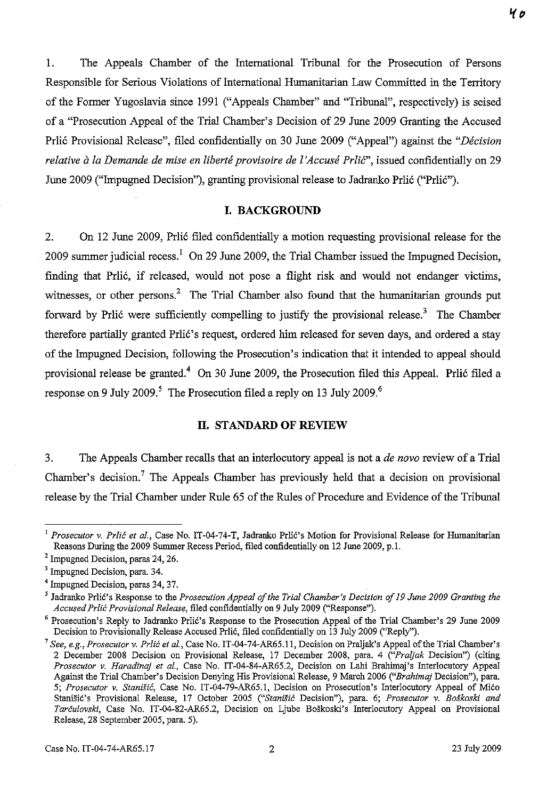1. The Appeals Chamber of the International Tribunal for the Prosecution of Persons Responsible for Serious Violations of International Humanitarian Law Committed in the Territory of the Former Yugoslavia since 1991 ("Appeals Chamber" and "Tribunal", respectively) is seised of a "Prosecution Appeal of the Trial Chamber's Decision of 29 June 2009 Granting the Accused Prlic Provisional Release", filed confidentially on 30 June 2009 ("Appeal") against the *"Decision relative à la Demande de mise en liberté provisoire de l'Accusé Prlić", issued confidentially on 29* June 2009 ("Impugned Decision"), granting provisional release to Jadranko Prlić ("Prlić").

## **I. BACKGROUND**

2. On 12 June 2009, Prlic filed confidentially a motion requesting provisional release for the 2009 summer judicial recess.<sup>1</sup> On 29 June 2009, the Trial Chamber issued the Impugned Decision, finding that Prlic, if released, would not pose a flight risk and would not endanger victims, witnesses, or other persons.<sup>2</sup> The Trial Chamber also found that the humanitarian grounds put forward by Prlic were sufficiently compelling to justify the provisional release.<sup>3</sup> The Chamber therefore partially granted Prlić's request, ordered him released for seven days, and ordered a stay of the hnpugned Decision, following the Prosecution's indication that it intended to appeal should provisional release be granted.4 On 30 June 2009, the Prosecution filed this Appeal. Prlic filed a response on 9 July 2009.<sup>5</sup> The Prosecution filed a reply on 13 July 2009.<sup>6</sup>

#### **II. STANDARD OF REVIEW**

3. The Appeals Chamber recalls that an interlocutory appeal is not a *de novo* review of a Trial Chamber's decision.<sup>7</sup> The Appeals Chamber has previously held that a decision on provisional release by the Trial Chamber under Rule 65 of the Rules of Procedure and Evidence of the Tribunal

<sup>I</sup>*Prosecutor* v. *Prlic et al.,* Case No. IT-04-74-T, Jadranko Prlic's Motion for Provisional Release for Humanitarian Reasons During the 2009 Summer Recess Period, filed confidentially on 12 June 2009, p.l.

<sup>&</sup>lt;sup>2</sup> Impugned Decision, paras 24, 26.

<sup>&</sup>lt;sup>3</sup> Impugned Decision, para. 34.

<sup>4</sup> Impugned Decision, paras 34, 37.

<sup>&</sup>lt;sup>5</sup> Jadranko Prlić's Response to the *Prosecution Appeal of the Trial Chamber's Decision of 19 June 2009 Granting the Accused Prlic Provisional Release,* filed confidentially on 9 July 2009 ("Response").

<sup>&</sup>lt;sup>6</sup> Prosecution's Reply to Jadranko Prlic's Response to the Prosecution Appeal of the Trial Chamber's 29 June 2009 Decision to Provisionally Release Accused Prlic, filed confidentially on 13 July 2009 ("Reply").

<sup>7</sup>*See, e.g., Prosecutor* v. *Prlic et ai.,* Case No. IT-04-74-AR65.11, Decision on Praljak's Appeal of the Trial Chamber's 2 December 2008 Decision on Provisional Release, 17 December 2008, para. 4 *("Praljak* Decision") (citing *Prosecutor* v. *Haradinaj et ai.,* Case No. IT-04-84-AR65.2, Decision on Labi Brahimaj's Interlocutory Appeal Against the Trial Chamber's Decision Denying His Provisional Release, 9 March 2006 *("Brahimaj* Decision"), para. *5; Prosecutor* v. *Stanisi6,* Case No. IT-04-79-AR65.1, Decision on Prosecution's Interlocutory Appeal of Mico Stanišić's Provisional Release, 17 October 2005 ("Stanišić Decision"), para. 6; Prosecutor v. *Boškoski and Tarculovski,* Case No. IT-04-82-AR65.2, Decision on Ljube BoSkoski's Interlocutory Appeal on Provisional Release, 28 September 2005, para. 5).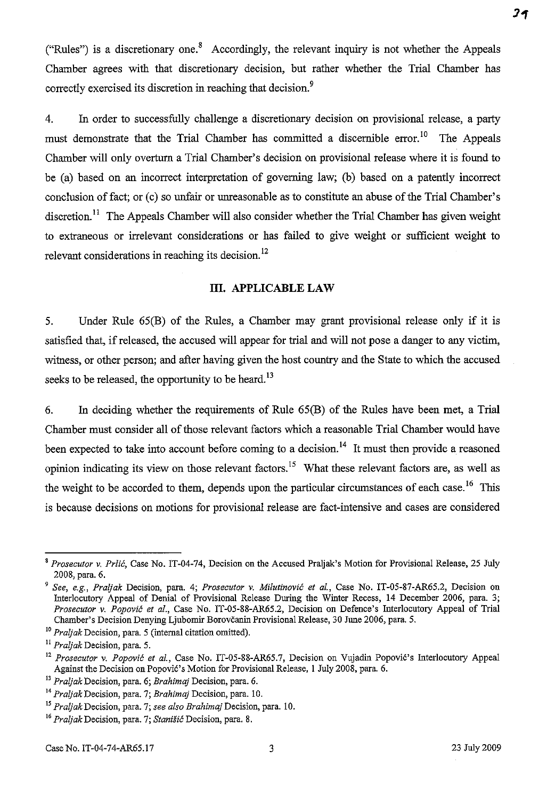("Rules") is a discretionary one.<sup>8</sup> Accordingly, the relevant inquiry is not whether the Appeals Chamber agrees with that discretionary decision, but rather whether the Trial Chamber has correctly exercised its discretion in reaching that decision.<sup>9</sup>

4. In order to successfully challenge a discretionary decision on provisional release, a party must demonstrate that the Trial Chamber has committed a discernible error.<sup>10</sup> The Appeals Chamber will only overturn a Trial Chamber's decision on provisional release where it is found to be (a) based on an incorrect interpretation of governing law; (b) based on a patently incorrect conclusion of fact; or (c) so unfair or unreasonable as to constitute an abuse of the Trial Chamber's discretion.<sup>11</sup> The Appeals Chamber will also consider whether the Trial Chamber has given weight to extraneous or irrelevant considerations or has failed to give weight or sufficient weight to relevant considerations in reaching its decision.<sup>12</sup>

#### **III. APPLICABLE LAW**

5. Under Rule 65(B) of the Rules, a Chamber may grant provisional release only if it is satisfied that, if released, the accused will appear for trial and will not pose a danger to any victim, witness, or other person; and after having given the host country and the State to which the accused seeks to be released, the opportunity to be heard.<sup>13</sup>

6. In deciding whether the requirements of Rule 65(B) of the Rules have been met, a Trial Chamber must consider all of those relevant factors which a reasonable Trial Chamber would have been expected to take into account before coming to a decision.<sup>14</sup> It must then provide a reasoned opinion indicating its view on those relevant factors.<sup>15</sup> What these relevant factors are, as well as the weight to be accorded to them, depends upon the particular circumstances of each case.<sup>16</sup> This is because decisions on motions for provisional release are fact-intensive and cases are considered

*<sup>•</sup> Prosecutor* v. *Prlic,* Case No. IT-04-74, Decision on the Accused Praljak's Motion for Provisional Release, 25 July 200S, para. 6.

*<sup>9</sup> See, e.g., Praljak* Decision, para. 4; *Prosecutor* v. *Milutinovic* ef *aI.,* Case No. IT-05-S7-AR65.2, Decision on Interlocutory Appeal of Denial of Provisional Release During the Winter Recess, 14 December 2006, para. 3; *Prosecutor* v. *Popovic et al.,* Case No. IT-05-SS-AR65.2, Decision on Defence's Interlocutory Appeal of Trial Chamber's Decision Denying Ljubomir Borovcanin Provisional Release, 30 June 2006, para. 5.

<sup>10</sup>*Praljak* Decision, para. 5 (internal citation omitted).

<sup>11</sup>*Praljak* Decision, para. 5.

<sup>12</sup>*Prosecutor* v. *Popovic et aI.,* Case No. IT-05-SS-AR65.7, Decision on Vujadin Popovic's Interlocutory Appeal Against the Decision on Popovic's Motion for Provisional Release, 1 July 200S, para. 6.

*<sup>13</sup> Praljak* Decision, para. 6; *Brahimaj* Decision, para. 6.

<sup>14</sup>*Praljak* Decision, para. 7; *Brahimaj* Decision, para. 10.

<sup>15</sup>*Praljak* Decision, para. 7; *see also Brahimaj* Decision, para. 10.

*<sup>16</sup> Praljak* **Decision, para. 7;** *Stanisi6* **Decision, para. 8.**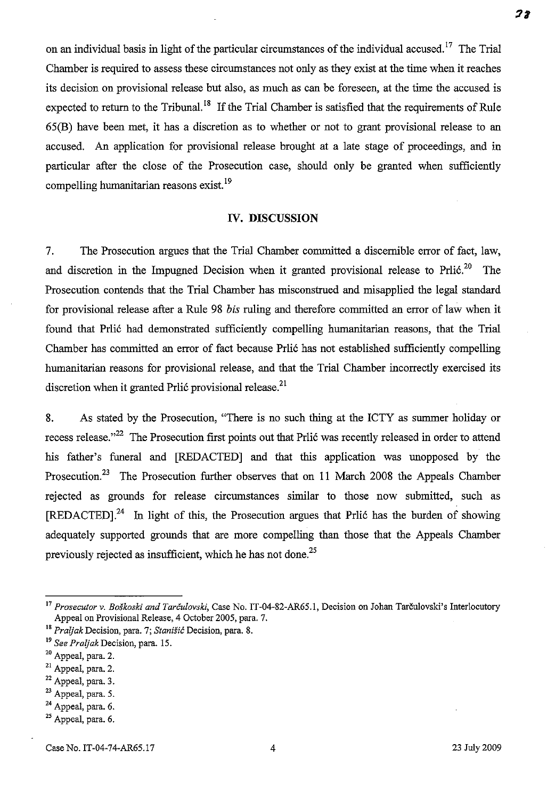on an individual basis in light of the particular circumstances of the individual accused.<sup>17</sup> The Trial Chamber is required to assess these circumstances not only as they exist at the time when it reaches its decision on provisional release but also, as much as can be foreseen, at the time the accused is expected to return to the Tribunal.<sup>18</sup> If the Trial Chamber is satisfied that the requirements of Rule 65(B) have been met, it has a discretion as to whether or not to grant provisional release to an accused. An application for provisional release brought at a late stage of proceedings, and in particular after the close of the Prosecution case, should only be granted when sufficiently compelling humanitarian reasons exist. !9

#### **IV. DISCUSSION**

7. The Prosecution argues that the Trial Chamber committed a discernible error of fact, law, and discretion in the Impugned Decision when it granted provisional release to Prlić.<sup>20</sup> The Prosecution contends that the Trial Chamber has misconstrued and misapplied the legal standard for provisional release after a Rule 98 *his* ruling and therefore committed an error of law when it found that Prlic had demonstrated sufficiently compelling humanitarian reasons, that the Trial Chamber has committed an error of fact because Prlic has not established sufficiently compelling humanitarian reasons for provisional release, and that the Trial Chamber incorrectly exercised its discretion when it granted Prlic provisional release.<sup>21</sup>

8. As stated by the Prosecution, "There is no such thing at the ICTY as summer holiday or recess release.<sup>322</sup> The Prosecution first points out that Prlic was recently released in order to attend his father's funeral and [REDACTED] and that this application was unopposed by the Prosecution.23 The Prosecution further observes that on **11** March 2008 the Appeals Chamber rejected as grounds for release circumstances similar to those now submitted, such as  $[REDACTED]$ <sup>24</sup> In light of this, the Prosecution argues that Prlic has the burden of showing adequately supported grounds that are more compelling than those that the Appeals Chamber previously rejected as insufficient, which he has not done.<sup>25</sup>

- $21$  Appeal, para. 2.
- $22$  Appeal, para. 3.
- $23$  Appeal, para. 5.

28

<sup>17</sup>*Prosecutor* v. *Boskoski and Tarculovski,* Case No. IT-04-82-AR65.1, Decision on Johan Tarculovski's Interlocutory Appeal on Provisional Release, 4 October 2005, para. 7.

IS *Praijak* Decision, para. 7; *Stanisic* Decision, para. 8.

I9 *See Praijak* Decision, para. 15.

<sup>&</sup>lt;sup>20</sup> Appeal, para. 2.

<sup>&</sup>lt;sup>24</sup> Appeal, para. 6.

 $25$  Appeal, para. 6.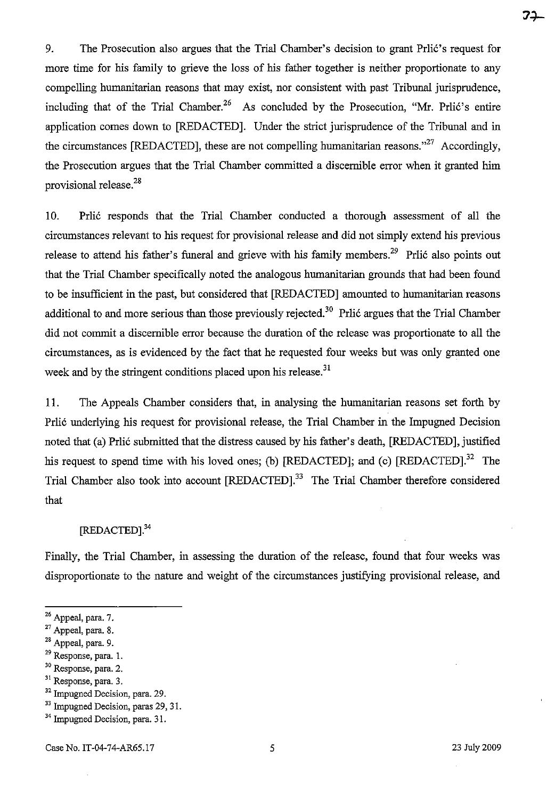71

9. The Prosecution also argues that the Trial Chamber's decision to grant Prlić's request for more time for his family to grieve the loss of his father together is neither proportionate to any compelling humanitarian reasons that may exist, nor consistent with past Tribunal jurisprudence, including that of the Trial Chamber.<sup>26</sup> As concluded by the Prosecution, "Mr. Prlié's entire application comes down to [REDACTED]. Under the strict jurisprudence of the Tribunal and in the circumstances [REDACTED], these are not compelling humanitarian reasons. $27$  Accordingly, the Prosecution argues that the Trial Chamber committed a discernible error when it granted him provisional release.<sup>28</sup>

10. Prli6 responds that the Trial Chamber conducted a thorough assessment of all the circumstances relevant to his request for provisional release and did not simply extend his previous release to attend his father's funeral and grieve with his family members.<sup>29</sup> Prlić also points out that the Trial Chamber specifically noted the analogous humanitarian grounds that had been found to be insufficient in the past, but considered that [REDACTED] amounted to humanitarian reasons additional to and more serious than those previously rejected.<sup>30</sup> Prlić argues that the Trial Chamber did not commit a discernible error because the duration of the release was proportionate to all the circumstances, as is evidenced by the fact that he requested four weeks but was only granted one week and by the stringent conditions placed upon his release.<sup>31</sup>

11. The Appeals Chamber considers that, in analysing the humanitarian reasons set forth by Prli6 underlying his request for provisional release, the Trial Chamber in the Impugned Decision noted that (a) Prlić submitted that the distress caused by his father's death, [REDACTED], justified his request to spend time with his loved ones; (b) [REDACTED]; and (c) [REDACTED].<sup>32</sup> The Trial Chamber also took into account [REDACTED].<sup>33</sup> The Trial Chamber therefore considered that

# [REDACTED].<sup>34</sup>

Finally, the Trial Chamber, in assessing the duration of the release, found that four weeks was disproportionate to the nature and weight of the circumstances justifying provisional release, and

<sup>26</sup> Appeal, para. 7.

<sup>27</sup> Appeal, para. 8.

<sup>28</sup> Appeal, para. 9.

<sup>29</sup> Response, para. I.

<sup>30</sup> Response, para. 2.

**<sup>3</sup>t Response, para. 3.** 

<sup>32</sup> Impugned Decision, para. 29.

<sup>&</sup>lt;sup>33</sup> Impugned Decision, paras 29, 31.

<sup>34</sup> Impugned Decision, para. 31.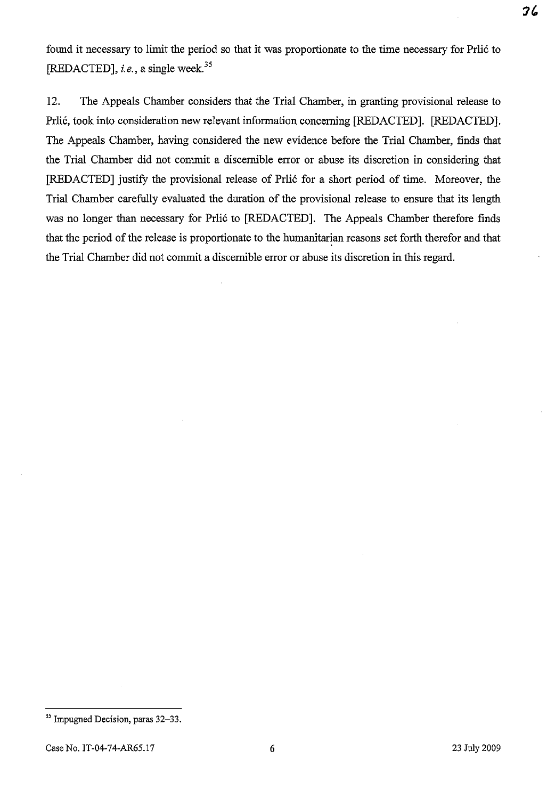found it necessary to limit the period so that it was proportionate to the time necessary for Prlic to [REDACTED], *i.e.*, a single week.<sup>35</sup>

12. The Appeals Chamber considers that the Trial Chamber, in granting provisional release to Prlic, took into consideration new relevant information concerning [REDACTED]. [REDACTED]. The Appeals Chamber, having considered the new evidence before the Trial Chamber, finds that the Trial Chamber did not commit a discernible error or abuse its discretion in considering that [REDACTED] justify the provisional release of Prlic for a short period of time. Moreover, the Trial Chamber carefully evaluated the duration of the provisional release to ensure that its length was no longer than necessary for Prlic to [REDACTED]. The Appeals Chamber therefore finds that the period of the release is proportionate to the humanitarian reasons set forth therefor and that the Trial Chamber did not commit a discernible error or abuse its discretion in this regard.

36

<sup>&</sup>lt;sup>35</sup> Impugned Decision, paras 32–33.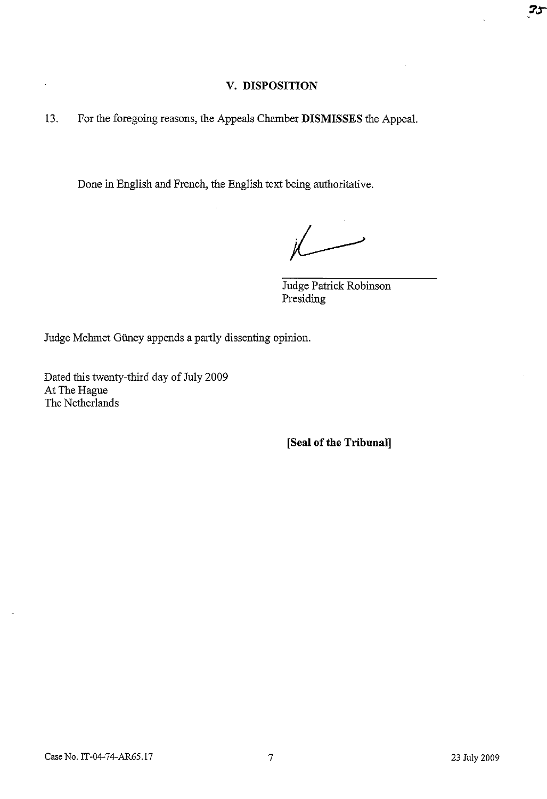# **V. DISPOSITION**

13. For the foregoing reasons, the Appeals Chamber **DISMISSES** the Appeal.

Done in English and French, the English text being authoritative.

 $\overline{\phantom{a}}$ 

Judge Patrick Robinson Presiding

Judge Mehmet Güney appends a partly dissenting opinion.

Dated this twenty-third day of July 2009 At The Hague The Netherlands

**[Seal of the Tribunal]** 

 $25$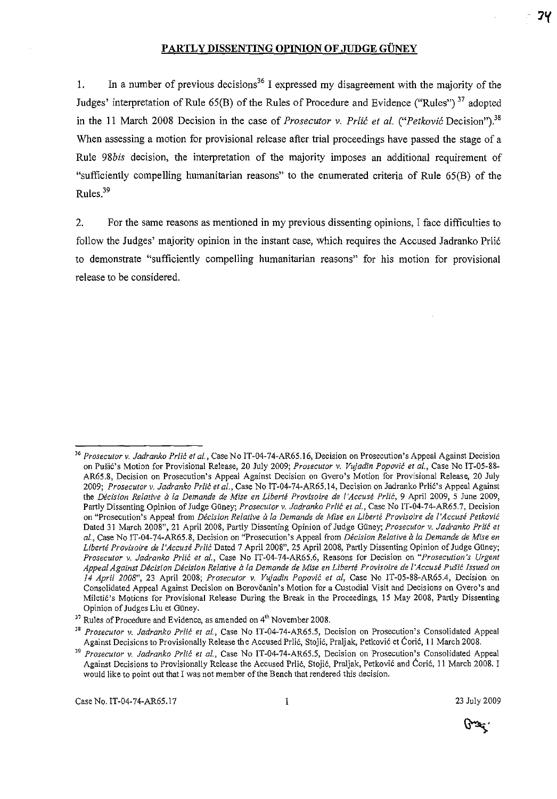# **PARTLY DISSENTING OPINION OF JUDGE GUNEY**

1. In a number of previous decisions<sup>36</sup> I expressed my disagreement with the majority of the Judges' interpretation of Rule  $65(B)$  of the Rules of Procedure and Evidence ("Rules")<sup>37</sup> adopted in the 11 March 2008 Decision in the case of *Prosecutor v. Prlić et al.* ("*Petković* Decision").<sup>38</sup> When assessing a motion for provisional release after trial proceedings have passed the stage of a Rule *98bis* decision, the interpretation of the majority imposes an additional requirement of "sufficiently compelling humanitarian reasons" to the enumerated criteria of Rule 65(B) of the Rules.<sup>39</sup>

2. For the same reasons as mentioned in my previous dissenting opinions, I face difficulties to follow the Judges' majority opinion in the instant case, which requires the Accused Jadranko Prli6 to demonstrate "sufficiently compelling humanitarian reasons" for his motion for provisional release to be considered.

يجتدع

*<sup>36</sup> Prosecutor* **v.** *Jadranko Prlic et a/.,* **Case No IT-04-74-AR65.l6, Decision on Prosecution's Appeal Against Decision**  on Pušić's Motion for Provisional Release, 20 July 2009; *Prosecutor v. Vujadin Popović et al.*, Case No IT-05-88-**AR65.8, Decision on Prosecution's Appeal Against Decision on Gvera's Motion for Provisional Release, 20 July**  *2009; Prosecutor* v. *ladranko Prlil: et ai.,* Case No 1T-04-74-AR65.14, Decision on Jadranko Prli6's Appeal Against the *Décision Relative à la Demande de Mise en Liberté Provisoire de l'Accusé Prlić, 9 April 2009, 5 June 2009,* Partly Dissenting Opinion of Judge Güney; *Prosecutor v. Jadranko Prlić et al.*, Case No IT-04-74-AR65.7, Decision **on "Prosecution's Appeal from** *Decision Relative ala Demande de Mise en Liberte Provisoire de l'Accuse Petkovic*  Dated 31 March 2008", 21 April 2008, Partly Dissenting Opinion of Judge Guney; *Prosecutor* v. *ladranko Prlic et al.,* **Case No** IT~04~74-AR65.8, **Decision on "Prosecution's Appeal from** *Decision Relative a la Demande de Mise en*  Liberté Provisoire de l'Accusé Prlić Dated 7 April 2008", 25 April 2008, Partly Dissenting Opinion of Judge Güney; *Prosecutor v. Jadranko Prlic et al.,* **Case No IT-04-74-AR65.6, Reasons for Decision on** *"Prosecution's Urgent Appeal Against Decision Decision Relative a la Demande de Mise en Liberte Provisoire de l'Accuse Pusic Issued on 14 April 2008",* 23 April 2008; *Prosecutor* v. *Vujadin Popovil: et ai,* Case No IT-05-88-AR65.4, Decision On **Consolidated Appeal Against Decision on Borovcanin's Motion for a Custodial Visit and Decisions on Gvero's and Mileti6's Motions for Provisional Release During the Break in the Proceedings, 15 May 2008, Partly Dissenting Opinion of Judges Liu et GUney.** 

<sup>&</sup>lt;sup>37</sup> Rules of Procedure and Evidence, as amended on 4<sup>th</sup> November 2008.

**<sup>38</sup>***Prosecutor v. Jadranko Prlic et al.,* **Case No IT-04-74-AR65.5, Decision on Prosecution's Consolidated Appeal Against Decisions to Provisionally Release the Accused Prlic, Stojic, Praljak, Petkovi6 et Caric, 11 March 2008.** 

*<sup>39</sup> Prosecutor v. Jadranko Prlic et al.,* **Case No IT-04-74-AR65.5, Decision on Prosecution's Consolidated Appeal**  Against Decisions to Provisionally Release the Accused Prlić, Stojić, Praljak, Petković and Ćorić, 11 March 2008. I **would like to point out that I was not member** of the **Bench that rendered this decision.**